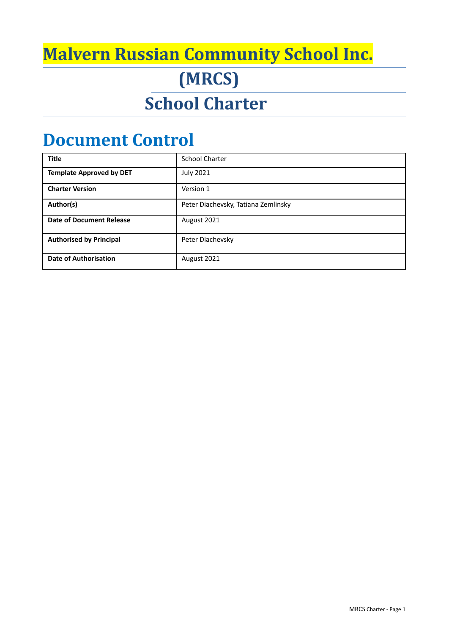## **Malvern Russian Community School Inc.**

**(MRCS)**

# **School Charter**

## **Document Control**

| <b>Title</b>                    | <b>School Charter</b>               |
|---------------------------------|-------------------------------------|
| <b>Template Approved by DET</b> | <b>July 2021</b>                    |
| <b>Charter Version</b>          | Version 1                           |
| Author(s)                       | Peter Diachevsky, Tatiana Zemlinsky |
| <b>Date of Document Release</b> | August 2021                         |
| <b>Authorised by Principal</b>  | Peter Diachevsky                    |
| <b>Date of Authorisation</b>    | August 2021                         |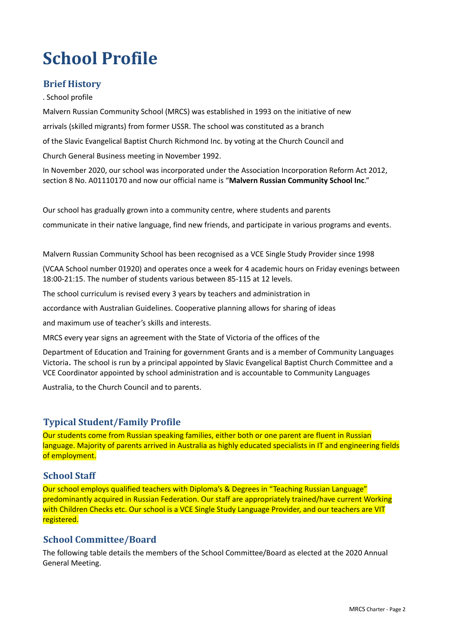# **School Profile**

## **Brief History**

. School profile

Malvern Russian Community School (MRCS) was established in 1993 on the initiative of new

arrivals (skilled migrants) from former USSR. The school was constituted as a branch

of the Slavic Evangelical Baptist Church Richmond Inc. by voting at the Church Council and

Church General Business meeting in November 1992.

In November 2020, our school was incorporated under the Association Incorporation Reform Act 2012, section 8 No. A01110170 and now our official name is "**Malvern Russian Community School Inc**."

Our school has gradually grown into a community centre, where students and parents

communicate in their native language, find new friends, and participate in various programs and events.

Malvern Russian Community School has been recognised as a VCE Single Study Provider since 1998

(VCAA School number 01920) and operates once a week for 4 academic hours on Friday evenings between 18:00-21:15. The number of students various between 85-115 at 12 levels.

The school curriculum is revised every 3 years by teachers and administration in

accordance with Australian Guidelines. Cooperative planning allows for sharing of ideas

and maximum use of teacher's skills and interests.

MRCS every year signs an agreement with the State of Victoria of the offices of the

Department of Education and Training for government Grants and is a member of Community Languages Victoria. The school is run by a principal appointed by Slavic Evangelical Baptist Church Committee and a VCE Coordinator appointed by school administration and is accountable to Community Languages

Australia, to the Church Council and to parents.

#### **Typical Student/Family Profile**

Our students come from Russian speaking families, either both or one parent are fluent in Russian language. Majority of parents arrived in Australia as highly educated specialists in IT and engineering fields of employment.

#### **School Staff**

Our school employs qualified teachers with Diploma's & Degrees in "Teaching Russian Language" predominantly acquired in Russian Federation. Our staff are appropriately trained/have current Working with Children Checks etc. Our school is a VCE Single Study Language Provider, and our teachers are VIT registered.

#### **School Committee/Board**

The following table details the members of the School Committee/Board as elected at the 2020 Annual General Meeting.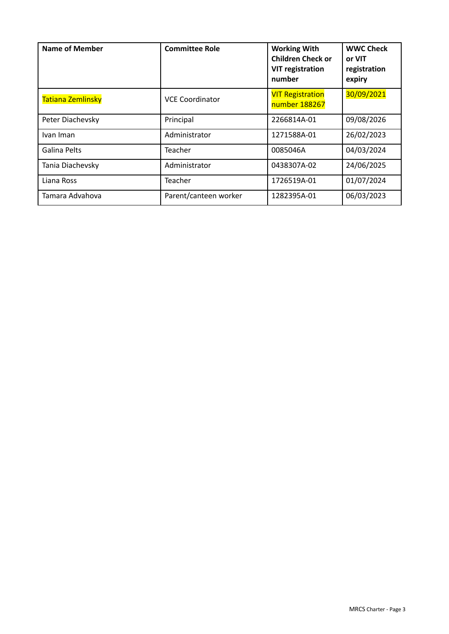| <b>Name of Member</b> | <b>Committee Role</b>  | <b>Working With</b><br><b>Children Check or</b><br><b>VIT registration</b><br>number | <b>WWC Check</b><br>or VIT<br>registration<br>expiry |
|-----------------------|------------------------|--------------------------------------------------------------------------------------|------------------------------------------------------|
| Tatiana Zemlinsky     | <b>VCE Coordinator</b> | <b>VIT Registration</b><br>number 188267                                             | 30/09/2021                                           |
| Peter Diachevsky      | Principal              | 2266814A-01                                                                          | 09/08/2026                                           |
| Ivan Iman             | Administrator          | 1271588A-01                                                                          | 26/02/2023                                           |
| Galina Pelts          | Teacher                | 0085046A                                                                             | 04/03/2024                                           |
| Tania Diachevsky      | Administrator          | 0438307A-02                                                                          | 24/06/2025                                           |
| Liana Ross            | Teacher                | 1726519A-01                                                                          | 01/07/2024                                           |
| Tamara Advahova       | Parent/canteen worker  | 1282395A-01                                                                          | 06/03/2023                                           |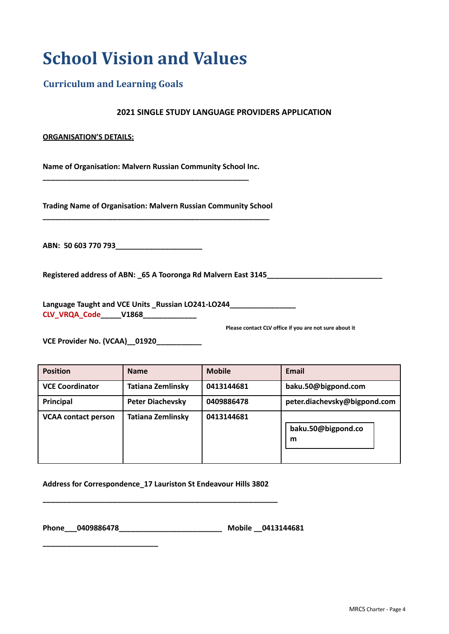## **School Vision and Values**

## **Curriculum and Learning Goals**

#### **2021 SINGLE STUDY LANGUAGE PROVIDERS APPLICATION**

#### **ORGANISATION'S DETAILS:**

**Name of Organisation: Malvern Russian Community School Inc.**

**\_\_\_\_\_\_\_\_\_\_\_\_\_\_\_\_\_\_\_\_\_\_\_\_\_\_\_\_\_\_\_\_\_\_\_\_\_\_\_\_\_\_\_\_\_\_\_\_\_\_**

**Trading Name of Organisation: Malvern Russian Community School \_\_\_\_\_\_\_\_\_\_\_\_\_\_\_\_\_\_\_\_\_\_\_\_\_\_\_\_\_\_\_\_\_\_\_\_\_\_\_\_\_\_\_\_\_\_\_\_\_\_\_\_\_\_\_**

**ABN: 50 603 770 793\_\_\_\_\_\_\_\_\_\_\_\_\_\_\_\_\_\_\_\_\_**

**Registered address of ABN: \_65 A Tooronga Rd Malvern East 3145\_\_\_\_\_\_\_\_\_\_\_\_\_\_\_\_\_\_\_\_\_\_\_\_\_\_\_\_**

**Language Taught and VCE Units \_Russian LO241-LO244\_\_\_\_\_\_\_\_\_\_\_\_\_\_\_\_ CLV\_VRQA\_Code\_\_\_\_\_V1868\_\_\_\_\_\_\_\_\_\_\_\_\_**

**Please contact CLV office if you are not sure about it**

**VCE Provider No. (VCAA)\_\_01920\_\_\_\_\_\_\_\_\_\_\_**

**\_\_\_\_\_\_\_\_\_\_\_\_\_\_\_\_\_\_\_\_\_\_\_\_\_\_\_\_**

| <b>Position</b>            | <b>Name</b>              | <b>Mobile</b> | Email                        |
|----------------------------|--------------------------|---------------|------------------------------|
| <b>VCE Coordinator</b>     | Tatiana Zemlinsky        | 0413144681    | baku.50@bigpond.com          |
| Principal                  | <b>Peter Diachevsky</b>  | 0409886478    | peter.diachevsky@bigpond.com |
| <b>VCAA contact person</b> | <b>Tatiana Zemlinsky</b> | 0413144681    | baku.50@bigpond.co<br>m      |

**Address for Correspondence\_17 Lauriston St Endeavour Hills 3802**

**\_\_\_\_\_\_\_\_\_\_\_\_\_\_\_\_\_\_\_\_\_\_\_\_\_\_\_\_\_\_\_\_\_\_\_\_\_\_\_\_\_\_\_\_\_\_\_\_\_\_\_\_\_\_\_\_\_**

**Phone\_\_\_0409886478\_\_\_\_\_\_\_\_\_\_\_\_\_\_\_\_\_\_\_\_\_\_\_\_\_ Mobile \_\_0413144681**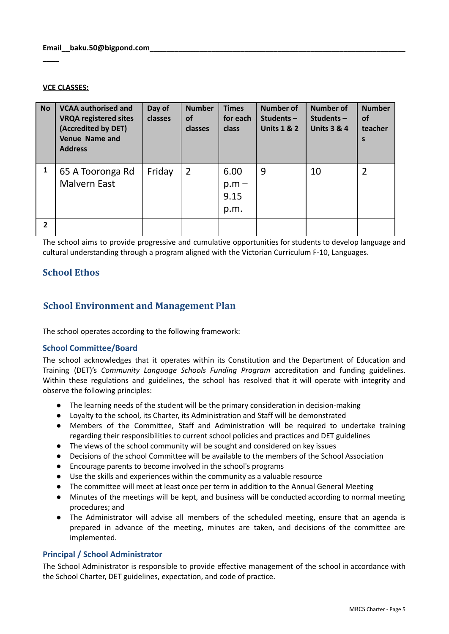#### **VCE CLASSES:**

**\_\_\_\_**

| <b>No</b>      | <b>VCAA authorised and</b><br><b>VRQA registered sites</b><br>(Accredited by DET)<br>Venue Name and<br><b>Address</b> | Day of<br>classes | <b>Number</b><br>οf<br>classes | <b>Times</b><br>for each<br>class | <b>Number of</b><br>Students $-$<br><b>Units 1 &amp; 2</b> | <b>Number of</b><br>Students $-$<br><b>Units 3 &amp; 4</b> | <b>Number</b><br><b>of</b><br>teacher<br>S |
|----------------|-----------------------------------------------------------------------------------------------------------------------|-------------------|--------------------------------|-----------------------------------|------------------------------------------------------------|------------------------------------------------------------|--------------------------------------------|
| 1              | 65 A Tooronga Rd<br><b>Malvern East</b>                                                                               | Friday            | $\overline{2}$                 | 6.00<br>$p.m -$<br>9.15<br>p.m.   | 9                                                          | 10                                                         | $\overline{2}$                             |
| $\overline{2}$ |                                                                                                                       |                   |                                |                                   |                                                            |                                                            |                                            |

The school aims to provide progressive and cumulative opportunities for students to develop language and cultural understanding through a program aligned with the Victorian Curriculum F-10, Languages.

## **School Ethos**

#### **School Environment and Management Plan**

The school operates according to the following framework:

#### **School Committee/Board**

The school acknowledges that it operates within its Constitution and the Department of Education and Training (DET)'s *Community Language Schools Funding Program* accreditation and funding guidelines. Within these regulations and guidelines, the school has resolved that it will operate with integrity and observe the following principles:

- The learning needs of the student will be the primary consideration in decision-making
- Loyalty to the school, its Charter, its Administration and Staff will be demonstrated
- Members of the Committee, Staff and Administration will be required to undertake training regarding their responsibilities to current school policies and practices and DET guidelines
- The views of the school community will be sought and considered on key issues
- Decisions of the school Committee will be available to the members of the School Association
- Encourage parents to become involved in the school's programs
- Use the skills and experiences within the community as a valuable resource
- The committee will meet at least once per term in addition to the Annual General Meeting
- Minutes of the meetings will be kept, and business will be conducted according to normal meeting procedures; and
- The Administrator will advise all members of the scheduled meeting, ensure that an agenda is prepared in advance of the meeting, minutes are taken, and decisions of the committee are implemented.

#### **Principal / School Administrator**

The School Administrator is responsible to provide effective management of the school in accordance with the School Charter, DET guidelines, expectation, and code of practice.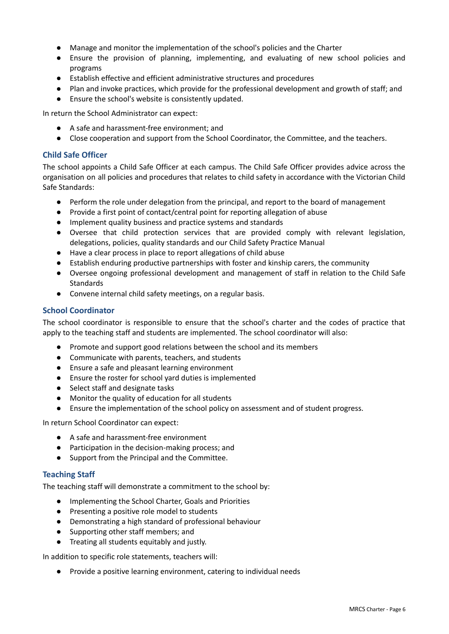- Manage and monitor the implementation of the school's policies and the Charter
- Ensure the provision of planning, implementing, and evaluating of new school policies and programs
- Establish effective and efficient administrative structures and procedures
- Plan and invoke practices, which provide for the professional development and growth of staff; and
- Ensure the school's website is consistently updated.

In return the School Administrator can expect:

- A safe and harassment-free environment; and
- Close cooperation and support from the School Coordinator, the Committee, and the teachers.

#### **Child Safe Officer**

The school appoints a Child Safe Officer at each campus. The Child Safe Officer provides advice across the organisation on all policies and procedures that relates to child safety in accordance with the Victorian Child Safe Standards:

- Perform the role under delegation from the principal, and report to the board of management
- Provide a first point of contact/central point for reporting allegation of abuse
- Implement quality business and practice systems and standards
- Oversee that child protection services that are provided comply with relevant legislation, delegations, policies, quality standards and our Child Safety Practice Manual
- Have a clear process in place to report allegations of child abuse
- Establish enduring productive partnerships with foster and kinship carers, the community
- Oversee ongoing professional development and management of staff in relation to the Child Safe Standards
- Convene internal child safety meetings, on a regular basis.

#### **School Coordinator**

The school coordinator is responsible to ensure that the school's charter and the codes of practice that apply to the teaching staff and students are implemented. The school coordinator will also:

- Promote and support good relations between the school and its members
- Communicate with parents, teachers, and students
- Ensure a safe and pleasant learning environment
- Ensure the roster for school yard duties is implemented
- Select staff and designate tasks
- Monitor the quality of education for all students
- Ensure the implementation of the school policy on assessment and of student progress.

In return School Coordinator can expect:

- A safe and harassment-free environment
- Participation in the decision-making process; and
- Support from the Principal and the Committee.

#### **Teaching Staff**

The teaching staff will demonstrate a commitment to the school by:

- Implementing the School Charter, Goals and Priorities
- Presenting a positive role model to students
- Demonstrating a high standard of professional behaviour
- Supporting other staff members; and
- Treating all students equitably and justly.

In addition to specific role statements, teachers will:

● Provide a positive learning environment, catering to individual needs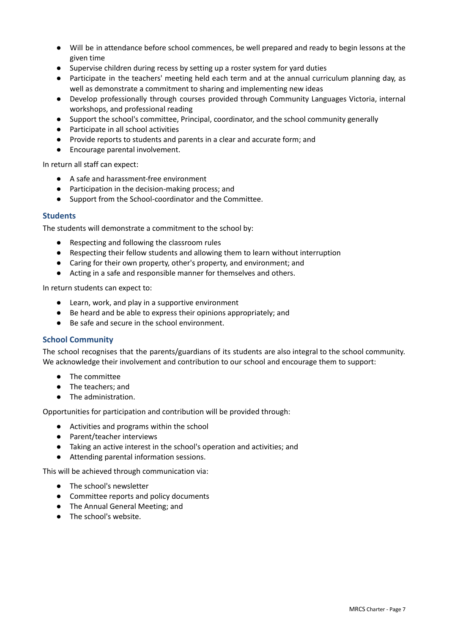- Will be in attendance before school commences, be well prepared and ready to begin lessons at the given time
- Supervise children during recess by setting up a roster system for yard duties
- Participate in the teachers' meeting held each term and at the annual curriculum planning day, as well as demonstrate a commitment to sharing and implementing new ideas
- Develop professionally through courses provided through Community Languages Victoria, internal workshops, and professional reading
- Support the school's committee, Principal, coordinator, and the school community generally
- Participate in all school activities
- Provide reports to students and parents in a clear and accurate form; and
- Encourage parental involvement.

In return all staff can expect:

- A safe and harassment-free environment
- Participation in the decision-making process; and
- Support from the School-coordinator and the Committee.

#### **Students**

The students will demonstrate a commitment to the school by:

- Respecting and following the classroom rules
- Respecting their fellow students and allowing them to learn without interruption
- Caring for their own property, other's property, and environment; and
- Acting in a safe and responsible manner for themselves and others.

In return students can expect to:

- Learn, work, and play in a supportive environment
- Be heard and be able to express their opinions appropriately; and
- Be safe and secure in the school environment.

#### **School Community**

The school recognises that the parents/guardians of its students are also integral to the school community. We acknowledge their involvement and contribution to our school and encourage them to support:

- The committee
- The teachers; and
- The administration.

Opportunities for participation and contribution will be provided through:

- Activities and programs within the school
- Parent/teacher interviews
- Taking an active interest in the school's operation and activities; and
- Attending parental information sessions.

This will be achieved through communication via:

- The school's newsletter
- Committee reports and policy documents
- The Annual General Meeting; and
- The school's website.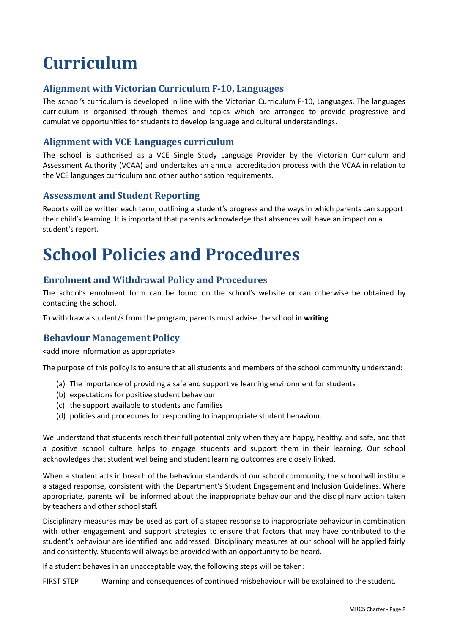# **Curriculum**

## **Alignment with Victorian Curriculum F-10, Languages**

The school's curriculum is developed in line with the Victorian Curriculum F-10, Languages. The languages curriculum is organised through themes and topics which are arranged to provide progressive and cumulative opportunities for students to develop language and cultural understandings.

### **Alignment with VCE Languages curriculum**

The school is authorised as a VCE Single Study Language Provider by the Victorian Curriculum and Assessment Authority (VCAA) and undertakes an annual accreditation process with the VCAA in relation to the VCE languages curriculum and other authorisation requirements.

#### **Assessment and Student Reporting**

Reports will be written each term, outlining a student's progress and the ways in which parents can support their child's learning. It is important that parents acknowledge that absences will have an impact on a student's report.

## **School Policies and Procedures**

#### **Enrolment and Withdrawal Policy and Procedures**

The school's enrolment form can be found on the school's website or can otherwise be obtained by contacting the school.

To withdraw a student/s from the program, parents must advise the school **in writing**.

## **Behaviour Management Policy**

<add more information as appropriate>

The purpose of this policy is to ensure that all students and members of the school community understand:

- (a) The importance of providing a safe and supportive learning environment for students
- (b) expectations for positive student behaviour
- (c) the support available to students and families
- (d) policies and procedures for responding to inappropriate student behaviour.

We understand that students reach their full potential only when they are happy, healthy, and safe, and that a positive school culture helps to engage students and support them in their learning. Our school acknowledges that student wellbeing and student learning outcomes are closely linked.

When a student acts in breach of the behaviour standards of our school community, the school will institute a staged response, consistent with the Department's Student Engagement and Inclusion Guidelines. Where appropriate, parents will be informed about the inappropriate behaviour and the disciplinary action taken by teachers and other school staff.

Disciplinary measures may be used as part of a staged response to inappropriate behaviour in combination with other engagement and support strategies to ensure that factors that may have contributed to the student's behaviour are identified and addressed. Disciplinary measures at our school will be applied fairly and consistently. Students will always be provided with an opportunity to be heard.

If a student behaves in an unacceptable way, the following steps will be taken:

FIRST STEP Warning and consequences of continued misbehaviour will be explained to the student.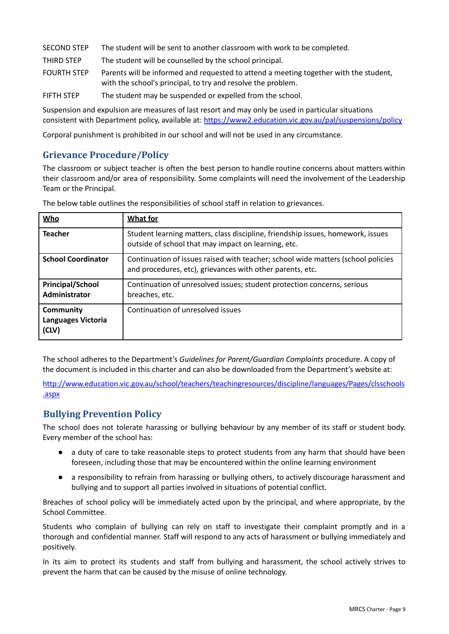| <b>SECOND STEP</b> | The student will be sent to another classroom with work to be completed.                                                                              |
|--------------------|-------------------------------------------------------------------------------------------------------------------------------------------------------|
| THIRD STEP         | The student will be counselled by the school principal.                                                                                               |
| <b>FOURTH STEP</b> | Parents will be informed and requested to attend a meeting together with the student,<br>with the school's principal, to try and resolve the problem. |
| <b>FIFTH STEP</b>  | The student may be suspended or expelled from the school.                                                                                             |

Suspension and expulsion are measures of last resort and may only be used in particular situations consistent with Department policy, available at: <https://www2.education.vic.gov.au/pal/suspensions/policy>

Corporal punishment is prohibited in our school and will not be used in any circumstance.

## **Grievance Procedure/Policy**

The classroom or subject teacher is often the best person to handle routine concerns about matters within their classroom and/or area of responsibility. Some complaints will need the involvement of the Leadership Team or the Principal.

| <b>Who</b>                                      | <b>What for</b>                                                                                                                               |
|-------------------------------------------------|-----------------------------------------------------------------------------------------------------------------------------------------------|
| <b>Teacher</b>                                  | Student learning matters, class discipline, friendship issues, homework, issues<br>outside of school that may impact on learning, etc.        |
| <b>School Coordinator</b>                       | Continuation of issues raised with teacher; school wide matters (school policies<br>and procedures, etc), grievances with other parents, etc. |
| <b>Principal/School</b><br>Administrator        | Continuation of unresolved issues; student protection concerns, serious<br>breaches, etc.                                                     |
| Community<br><b>Languages Victoria</b><br>(CLV) | Continuation of unresolved issues                                                                                                             |

The below table outlines the responsibilities of school staff in relation to grievances.

The school adheres to the Department's *Guidelines for Parent/Guardian Complaints* procedure. A copy of the document is included in this charter and can also be downloaded from the Department's website at:

[http://www.education.vic.gov.au/school/teachers/teachingresources/discipline/languages/Pages/clsschools](http://www.education.vic.gov.au/school/teachers/teachingresources/discipline/languages/Pages/clsschools.aspx) [.aspx](http://www.education.vic.gov.au/school/teachers/teachingresources/discipline/languages/Pages/clsschools.aspx)

## **Bullying Prevention Policy**

The school does not tolerate harassing or bullying behaviour by any member of its staff or student body. Every member of the school has:

- a duty of care to take reasonable steps to protect students from any harm that should have been foreseen, including those that may be encountered within the online learning environment
- a responsibility to refrain from harassing or bullying others, to actively discourage harassment and bullying and to support all parties involved in situations of potential conflict.

Breaches of school policy will be immediately acted upon by the principal, and where appropriate, by the School Committee.

Students who complain of bullying can rely on staff to investigate their complaint promptly and in a thorough and confidential manner. Staff will respond to any acts of harassment or bullying immediately and positively.

In its aim to protect its students and staff from bullying and harassment, the school actively strives to prevent the harm that can be caused by the misuse of online technology.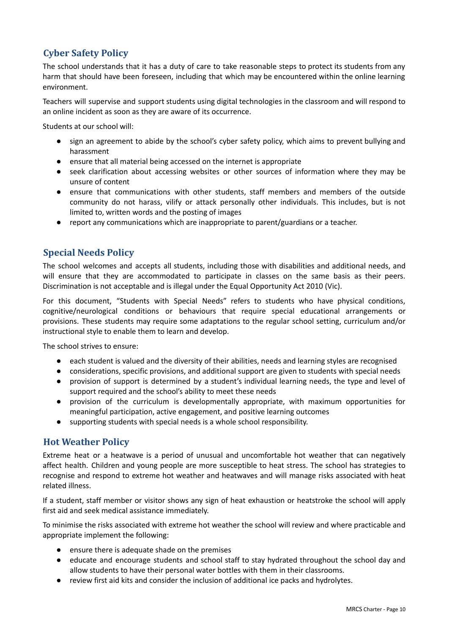## **Cyber Safety Policy**

The school understands that it has a duty of care to take reasonable steps to protect its students from any harm that should have been foreseen, including that which may be encountered within the online learning environment.

Teachers will supervise and support students using digital technologies in the classroom and will respond to an online incident as soon as they are aware of its occurrence.

Students at our school will:

- sign an agreement to abide by the school's cyber safety policy, which aims to prevent bullying and harassment
- ensure that all material being accessed on the internet is appropriate
- seek clarification about accessing websites or other sources of information where they may be unsure of content
- ensure that communications with other students, staff members and members of the outside community do not harass, vilify or attack personally other individuals. This includes, but is not limited to, written words and the posting of images
- report any communications which are inappropriate to parent/guardians or a teacher.

#### **Special Needs Policy**

The school welcomes and accepts all students, including those with disabilities and additional needs, and will ensure that they are accommodated to participate in classes on the same basis as their peers. Discrimination is not acceptable and is illegal under the Equal Opportunity Act 2010 (Vic).

For this document, "Students with Special Needs" refers to students who have physical conditions, cognitive/neurological conditions or behaviours that require special educational arrangements or provisions. These students may require some adaptations to the regular school setting, curriculum and/or instructional style to enable them to learn and develop.

The school strives to ensure:

- each student is valued and the diversity of their abilities, needs and learning styles are recognised
- considerations, specific provisions, and additional support are given to students with special needs
- provision of support is determined by a student's individual learning needs, the type and level of support required and the school's ability to meet these needs
- provision of the curriculum is developmentally appropriate, with maximum opportunities for meaningful participation, active engagement, and positive learning outcomes
- supporting students with special needs is a whole school responsibility.

#### **Hot Weather Policy**

Extreme heat or a heatwave is a period of unusual and uncomfortable hot weather that can negatively affect health. Children and young people are more susceptible to heat stress. The school has strategies to recognise and respond to extreme hot weather and heatwaves and will manage risks associated with heat related illness.

If a student, staff member or visitor shows any sign of heat exhaustion or heatstroke the school will apply first aid and seek medical assistance immediately.

To minimise the risks associated with extreme hot weather the school will review and where practicable and appropriate implement the following:

- ensure there is adequate shade on the premises
- educate and encourage students and school staff to stay hydrated throughout the school day and allow students to have their personal water bottles with them in their classrooms.
- review first aid kits and consider the inclusion of additional ice packs and hydrolytes.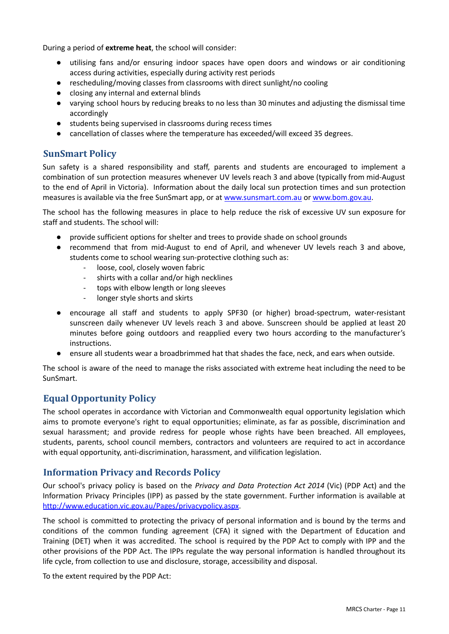During a period of **extreme heat**, the school will consider:

- utilising fans and/or ensuring indoor spaces have open doors and windows or air conditioning access during activities, especially during activity rest periods
- rescheduling/moving classes from classrooms with direct sunlight/no cooling
- closing any internal and external blinds
- varying school hours by reducing breaks to no less than 30 minutes and adjusting the dismissal time accordingly
- students being supervised in classrooms during recess times
- cancellation of classes where the temperature has exceeded/will exceed 35 degrees.

#### **SunSmart Policy**

Sun safety is a shared responsibility and staff, parents and students are encouraged to implement a combination of sun protection measures whenever UV levels reach 3 and above (typically from mid-August to the end of April in Victoria). Information about the daily local sun protection times and sun protection measures is available via the free SunSmart app, or at [www.sunsmart.com.au](http://www.sunsmart.com.au) or [www.bom.gov.au](http://www.bom.gov.au).

The school has the following measures in place to help reduce the risk of excessive UV sun exposure for staff and students. The school will:

- provide sufficient options for shelter and trees to provide shade on school grounds
- recommend that from mid-August to end of April, and whenever UV levels reach 3 and above, students come to school wearing sun-protective clothing such as:
	- loose, cool, closely woven fabric
	- shirts with a collar and/or high necklines
	- tops with elbow length or long sleeves
	- longer style shorts and skirts
- encourage all staff and students to apply SPF30 (or higher) broad-spectrum, water-resistant sunscreen daily whenever UV levels reach 3 and above. Sunscreen should be applied at least 20 minutes before going outdoors and reapplied every two hours according to the manufacturer's instructions.
- ensure all students wear a broadbrimmed hat that shades the face, neck, and ears when outside.

The school is aware of the need to manage the risks associated with extreme heat including the need to be SunSmart.

## **Equal Opportunity Policy**

The school operates in accordance with Victorian and Commonwealth equal opportunity legislation which aims to promote everyone's right to equal opportunities; eliminate, as far as possible, discrimination and sexual harassment; and provide redress for people whose rights have been breached. All employees, students, parents, school council members, contractors and volunteers are required to act in accordance with equal opportunity, anti-discrimination, harassment, and vilification legislation.

#### **Information Privacy and Records Policy**

Our school's privacy policy is based on the *Privacy and Data Protection Act 2014* (Vic) (PDP Act) and the Information Privacy Principles (IPP) as passed by the state government. Further information is available at <http://www.education.vic.gov.au/Pages/privacypolicy.aspx>.

The school is committed to protecting the privacy of personal information and is bound by the terms and conditions of the common funding agreement (CFA) it signed with the Department of Education and Training (DET) when it was accredited. The school is required by the PDP Act to comply with IPP and the other provisions of the PDP Act. The IPPs regulate the way personal information is handled throughout its life cycle, from collection to use and disclosure, storage, accessibility and disposal.

To the extent required by the PDP Act: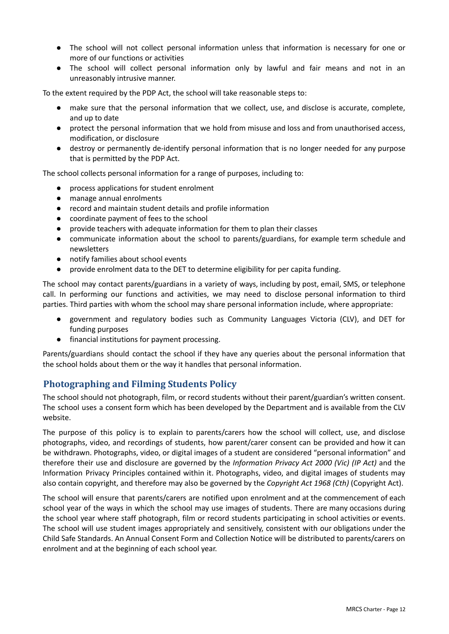- The school will not collect personal information unless that information is necessary for one or more of our functions or activities
- The school will collect personal information only by lawful and fair means and not in an unreasonably intrusive manner.

To the extent required by the PDP Act, the school will take reasonable steps to:

- make sure that the personal information that we collect, use, and disclose is accurate, complete, and up to date
- protect the personal information that we hold from misuse and loss and from unauthorised access, modification, or disclosure
- destroy or permanently de-identify personal information that is no longer needed for any purpose that is permitted by the PDP Act.

The school collects personal information for a range of purposes, including to:

- process applications for student enrolment
- manage annual enrolments
- record and maintain student details and profile information
- coordinate payment of fees to the school
- provide teachers with adequate information for them to plan their classes
- communicate information about the school to parents/guardians, for example term schedule and newsletters
- notify families about school events
- provide enrolment data to the DET to determine eligibility for per capita funding.

The school may contact parents/guardians in a variety of ways, including by post, email, SMS, or telephone call. In performing our functions and activities, we may need to disclose personal information to third parties. Third parties with whom the school may share personal information include, where appropriate:

- government and regulatory bodies such as Community Languages Victoria (CLV), and DET for funding purposes
- financial institutions for payment processing.

Parents/guardians should contact the school if they have any queries about the personal information that the school holds about them or the way it handles that personal information.

#### **Photographing and Filming Students Policy**

The school should not photograph, film, or record students without their parent/guardian's written consent. The school uses a consent form which has been developed by the Department and is available from the CLV website.

The purpose of this policy is to explain to parents/carers how the school will collect, use, and disclose photographs, video, and recordings of students, how parent/carer consent can be provided and how it can be withdrawn. Photographs, video, or digital images of a student are considered "personal information" and therefore their use and disclosure are governed by the *Information Privacy Act 2000 (Vic) (IP Act)* and the Information Privacy Principles contained within it. Photographs, video, and digital images of students may also contain copyright, and therefore may also be governed by the *Copyright Act 1968 (Cth)* (Copyright Act).

The school will ensure that parents/carers are notified upon enrolment and at the commencement of each school year of the ways in which the school may use images of students. There are many occasions during the school year where staff photograph, film or record students participating in school activities or events. The school will use student images appropriately and sensitively, consistent with our obligations under the Child Safe Standards. An Annual Consent Form and Collection Notice will be distributed to parents/carers on enrolment and at the beginning of each school year.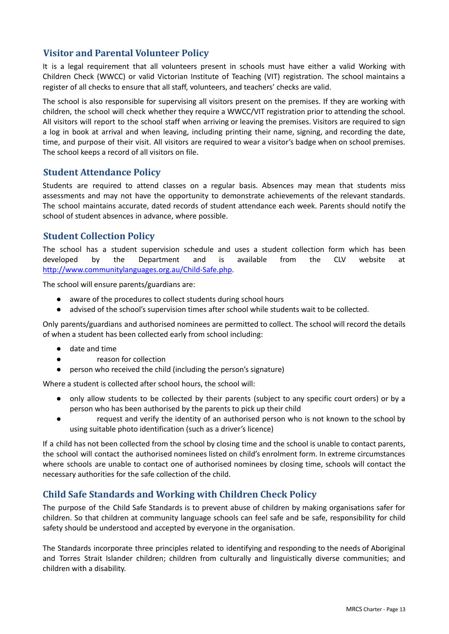## **Visitor and Parental Volunteer Policy**

It is a legal requirement that all volunteers present in schools must have either a valid Working with Children Check (WWCC) or valid Victorian Institute of Teaching (VIT) registration. The school maintains a register of all checks to ensure that all staff, volunteers, and teachers' checks are valid.

The school is also responsible for supervising all visitors present on the premises. If they are working with children, the school will check whether they require a WWCC/VIT registration prior to attending the school. All visitors will report to the school staff when arriving or leaving the premises. Visitors are required to sign a log in book at arrival and when leaving, including printing their name, signing, and recording the date, time, and purpose of their visit. All visitors are required to wear a visitor's badge when on school premises. The school keeps a record of all visitors on file.

#### **Student Attendance Policy**

Students are required to attend classes on a regular basis. Absences may mean that students miss assessments and may not have the opportunity to demonstrate achievements of the relevant standards. The school maintains accurate, dated records of student attendance each week. Parents should notify the school of student absences in advance, where possible.

#### **Student Collection Policy**

The school has a student supervision schedule and uses a student collection form which has been developed by the Department and is available from the CLV website at <http://www.communitylanguages.org.au/Child-Safe.php>.

The school will ensure parents/guardians are:

- aware of the procedures to collect students during school hours
- advised of the school's supervision times after school while students wait to be collected.

Only parents/guardians and authorised nominees are permitted to collect. The school will record the details of when a student has been collected early from school including:

- date and time
- reason for collection
- person who received the child (including the person's signature)

Where a student is collected after school hours, the school will:

- only allow students to be collected by their parents (subject to any specific court orders) or by a person who has been authorised by the parents to pick up their child
- request and verify the identity of an authorised person who is not known to the school by using suitable photo identification (such as a driver's licence)

If a child has not been collected from the school by closing time and the school is unable to contact parents, the school will contact the authorised nominees listed on child's enrolment form. In extreme circumstances where schools are unable to contact one of authorised nominees by closing time, schools will contact the necessary authorities for the safe collection of the child.

#### **Child Safe Standards and Working with Children Check Policy**

The purpose of the Child Safe Standards is to prevent abuse of children by making organisations safer for children. So that children at community language schools can feel safe and be safe, responsibility for child safety should be understood and accepted by everyone in the organisation.

The Standards incorporate three principles related to identifying and responding to the needs of Aboriginal and Torres Strait Islander children; children from culturally and linguistically diverse communities; and children with a disability.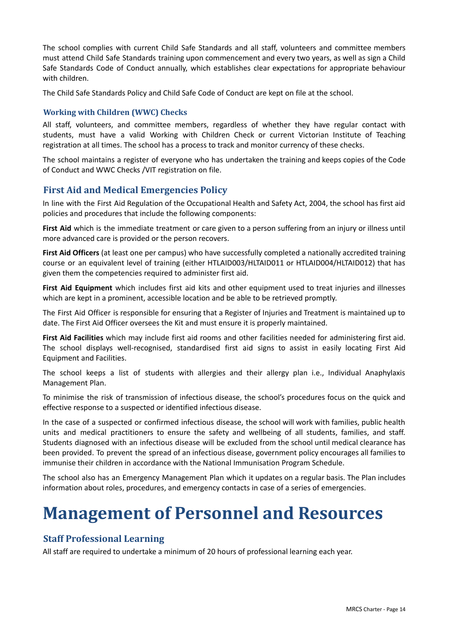The school complies with current Child Safe Standards and all staff, volunteers and committee members must attend Child Safe Standards training upon commencement and every two years, as well as sign a Child Safe Standards Code of Conduct annually, which establishes clear expectations for appropriate behaviour with children.

The Child Safe Standards Policy and Child Safe Code of Conduct are kept on file at the school.

#### **Working with Children (WWC) Checks**

All staff, volunteers, and committee members, regardless of whether they have regular contact with students, must have a valid Working with Children Check or current Victorian Institute of Teaching registration at all times. The school has a process to track and monitor currency of these checks.

The school maintains a register of everyone who has undertaken the training and keeps copies of the Code of Conduct and WWC Checks /VIT registration on file.

#### **First Aid and Medical Emergencies Policy**

In line with the First Aid Regulation of the Occupational Health and Safety Act, 2004, the school has first aid policies and procedures that include the following components:

**First Aid** which is the immediate treatment or care given to a person suffering from an injury or illness until more advanced care is provided or the person recovers.

**First Aid Officers** (at least one per campus) who have successfully completed a nationally accredited training course or an equivalent level of training (either HTLAID003/HLTAID011 or HTLAID004/HLTAID012) that has given them the competencies required to administer first aid.

**First Aid Equipment** which includes first aid kits and other equipment used to treat injuries and illnesses which are kept in a prominent, accessible location and be able to be retrieved promptly.

The First Aid Officer is responsible for ensuring that a Register of Injuries and Treatment is maintained up to date. The First Aid Officer oversees the Kit and must ensure it is properly maintained.

**First Aid Facilities** which may include first aid rooms and other facilities needed for administering first aid. The school displays well-recognised, standardised first aid signs to assist in easily locating First Aid Equipment and Facilities.

The school keeps a list of students with allergies and their allergy plan i.e., Individual Anaphylaxis Management Plan.

To minimise the risk of transmission of infectious disease, the school's procedures focus on the quick and effective response to a suspected or identified infectious disease.

In the case of a suspected or confirmed infectious disease, the school will work with families, public health units and medical practitioners to ensure the safety and wellbeing of all students, families, and staff. Students diagnosed with an infectious disease will be excluded from the school until medical clearance has been provided. To prevent the spread of an infectious disease, government policy encourages all families to immunise their children in accordance with the National Immunisation Program Schedule.

The school also has an Emergency Management Plan which it updates on a regular basis. The Plan includes information about roles, procedures, and emergency contacts in case of a series of emergencies.

## **Management of Personnel and Resources**

#### **Staff Professional Learning**

All staff are required to undertake a minimum of 20 hours of professional learning each year.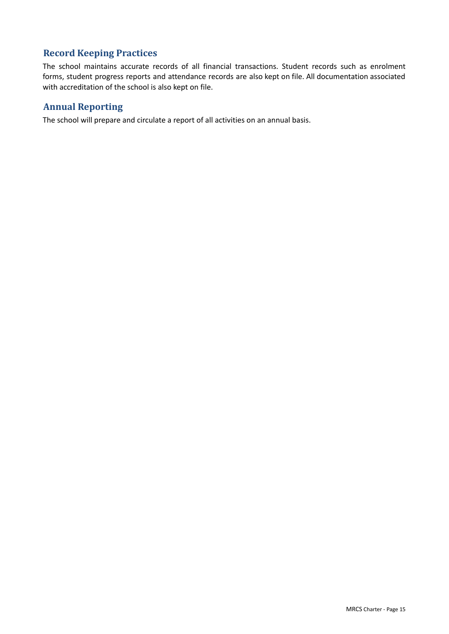## **Record Keeping Practices**

The school maintains accurate records of all financial transactions. Student records such as enrolment forms, student progress reports and attendance records are also kept on file. All documentation associated with accreditation of the school is also kept on file.

## **Annual Reporting**

The school will prepare and circulate a report of all activities on an annual basis.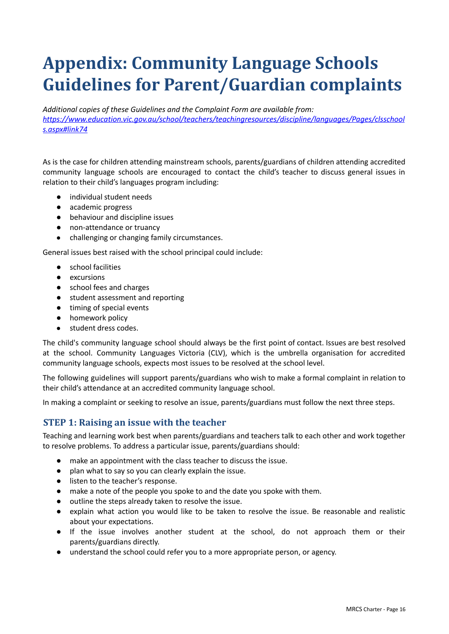# **Appendix: Community Language Schools Guidelines for Parent/Guardian complaints**

*Additional copies of these Guidelines and the Complaint Form are available from: [https://www.education.vic.gov.au/school/teachers/teachingresources/discipline/languages/Pages/clsschool](https://www.education.vic.gov.au/school/teachers/teachingresources/discipline/languages/Pages/clsschools.aspx#link74) [s.aspx#link74](https://www.education.vic.gov.au/school/teachers/teachingresources/discipline/languages/Pages/clsschools.aspx#link74)*

As is the case for children attending mainstream schools, parents/guardians of children attending accredited community language schools are encouraged to contact the child's teacher to discuss general issues in relation to their child's languages program including:

- individual student needs
- academic progress
- behaviour and discipline issues
- non-attendance or truancy
- challenging or changing family circumstances.

General issues best raised with the school principal could include:

- school facilities
- excursions
- school fees and charges
- student assessment and reporting
- timing of special events
- homework policy
- student dress codes.

The child's community language school should always be the first point of contact. Issues are best resolved at the school. Community Languages Victoria (CLV), which is the umbrella organisation for accredited community language schools, expects most issues to be resolved at the school level.

The following guidelines will support parents/guardians who wish to make a formal complaint in relation to their child's attendance at an accredited community language school.

In making a complaint or seeking to resolve an issue, parents/guardians must follow the next three steps.

#### **STEP 1: Raising an issue with the teacher**

Teaching and learning work best when parents/guardians and teachers talk to each other and work together to resolve problems. To address a particular issue, parents/guardians should:

- make an appointment with the class teacher to discuss the issue.
- plan what to say so you can clearly explain the issue.
- listen to the teacher's response.
- make a note of the people you spoke to and the date you spoke with them.
- outline the steps already taken to resolve the issue.
- explain what action you would like to be taken to resolve the issue. Be reasonable and realistic about your expectations.
- If the issue involves another student at the school, do not approach them or their parents/guardians directly.
- understand the school could refer you to a more appropriate person, or agency.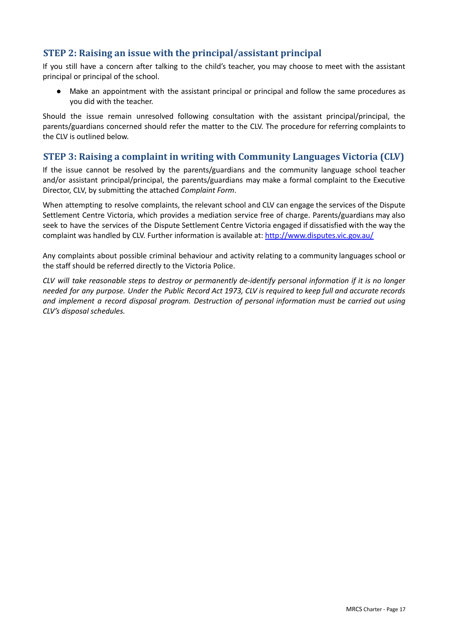## **STEP 2: Raising an issue with the principal/assistant principal**

If you still have a concern after talking to the child's teacher, you may choose to meet with the assistant principal or principal of the school.

Make an appointment with the assistant principal or principal and follow the same procedures as you did with the teacher.

Should the issue remain unresolved following consultation with the assistant principal/principal, the parents/guardians concerned should refer the matter to the CLV. The procedure for referring complaints to the CLV is outlined below.

#### **STEP 3: Raising a complaint in writing with Community Languages Victoria (CLV)**

If the issue cannot be resolved by the parents/guardians and the community language school teacher and/or assistant principal/principal, the parents/guardians may make a formal complaint to the Executive Director, CLV, by submitting the attached *Complaint Form*.

When attempting to resolve complaints, the relevant school and CLV can engage the services of the Dispute Settlement Centre Victoria, which provides a mediation service free of charge. Parents/guardians may also seek to have the services of the Dispute Settlement Centre Victoria engaged if dissatisfied with the way the complaint was handled by CLV. Further information is available at: [http://www.disputes.vic.gov.au/](http://www.disputes.vic.gov.au/%20%20%20)

Any complaints about possible criminal behaviour and activity relating to a community languages school or the staff should be referred directly to the Victoria Police.

CLV will take reasonable steps to destroy or permanently de-identify personal information if it is no longer needed for any purpose. Under the Public Record Act 1973, CLV is required to keep full and accurate records *and implement a record disposal program. Destruction of personal information must be carried out using CLV's disposal schedules.*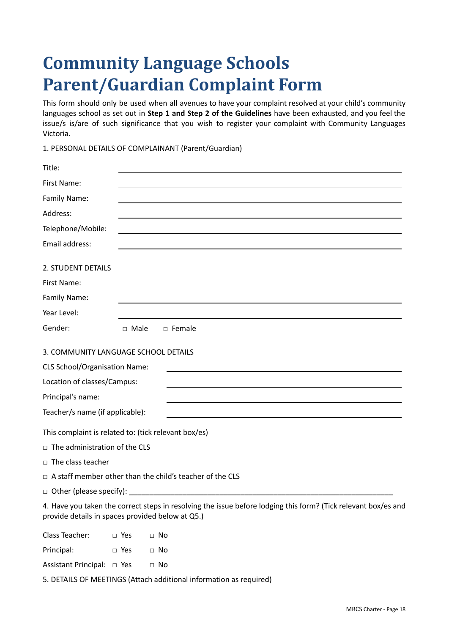# **Community Language Schools Parent/Guardian Complaint Form**

This form should only be used when all avenues to have your complaint resolved at your child's community languages school as set out in **Step 1 and Step 2 of the Guidelines** have been exhausted, and you feel the issue/s is/are of such significance that you wish to register your complaint with Community Languages Victoria.

1. PERSONAL DETAILS OF COMPLAINANT (Parent/Guardian)

| Title:                                               |             |                                                                                                                |
|------------------------------------------------------|-------------|----------------------------------------------------------------------------------------------------------------|
| First Name:                                          |             |                                                                                                                |
| Family Name:                                         |             |                                                                                                                |
| Address:                                             |             |                                                                                                                |
| Telephone/Mobile:                                    |             |                                                                                                                |
| Email address:                                       |             |                                                                                                                |
| 2. STUDENT DETAILS                                   |             |                                                                                                                |
| First Name:                                          |             |                                                                                                                |
| Family Name:                                         |             |                                                                                                                |
| Year Level:                                          |             |                                                                                                                |
| Gender:                                              | $\Box$ Male | $\Box$ Female                                                                                                  |
| 3. COMMUNITY LANGUAGE SCHOOL DETAILS                 |             |                                                                                                                |
| <b>CLS School/Organisation Name:</b>                 |             |                                                                                                                |
| Location of classes/Campus:                          |             |                                                                                                                |
| Principal's name:                                    |             |                                                                                                                |
| Teacher/s name (if applicable):                      |             |                                                                                                                |
| This complaint is related to: (tick relevant box/es) |             |                                                                                                                |
| $\Box$ The administration of the CLS                 |             |                                                                                                                |
| $\Box$ The class teacher                             |             |                                                                                                                |
|                                                      |             | $\Box$ A staff member other than the child's teacher of the CLS                                                |
| $\Box$ Other (please specify): __________            |             |                                                                                                                |
| provide details in spaces provided below at Q5.)     |             | 4. Have you taken the correct steps in resolving the issue before lodging this form? (Tick relevant box/es and |
| Class Teacher:                                       | $\Box$ Yes  | $\Box$ No                                                                                                      |
| Principal:                                           | $\Box$ Yes  | $\Box$ No                                                                                                      |

Assistant Principal: □ Yes □ No

5. DETAILS OF MEETINGS (Attach additional information as required)